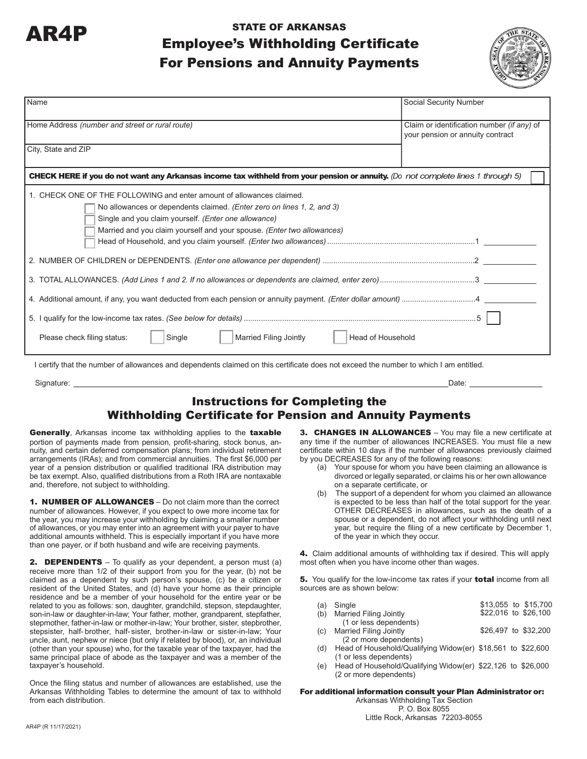

# AR4P STATE OF ARKANSAS Employee's Withholding Certificate For Pensions and Annuity Payments



| Name                                                                                                                                                                                                                                                                              | Social Security Number                                                         |
|-----------------------------------------------------------------------------------------------------------------------------------------------------------------------------------------------------------------------------------------------------------------------------------|--------------------------------------------------------------------------------|
| Home Address (number and street or rural route)                                                                                                                                                                                                                                   | Claim or identification number (if any) of<br>your pension or annuity contract |
| City, State and ZIP                                                                                                                                                                                                                                                               |                                                                                |
| CHECK HERE if you do not want any Arkansas income tax withheld from your pension or annuity. (Do not complete lines 1 through 5)                                                                                                                                                  |                                                                                |
| 1. CHECK ONE OF THE FOLLOWING and enter amount of allowances claimed.<br>No allowances or dependents claimed. (Enter zero on lines 1, 2, and 3)<br>Single and you claim yourself. (Enter one allowance)<br>Married and you claim yourself and your spouse. (Enter two allowances) |                                                                                |
|                                                                                                                                                                                                                                                                                   |                                                                                |
|                                                                                                                                                                                                                                                                                   |                                                                                |
| Married Filing Jointly<br>Head of Household<br>Please check filing status:<br>Single                                                                                                                                                                                              |                                                                                |
| I certify that the number of allowances and dependents claimed on this certificate does not exceed the number to which I am entitled.                                                                                                                                             |                                                                                |
| Signature:                                                                                                                                                                                                                                                                        | Date:                                                                          |

### Instructions for Completing the Withholding Certificate for Pension and Annuity Payments

Generally, Arkansas income tax withholding applies to the taxable portion of payments made from pension, profit-sharing, stock bonus, annuity, and certain deferred compensation plans; from individual retirement arrangements (IRAs); and from commercial annuities. The first \$6,000 per year of a pension distribution or qualified traditional IRA distribution may be tax exempt. Also, qualified distributions from a Roth IRA are nontaxable and, therefore, not subject to withholding.

1. NUMBER OF ALLOWANCES - Do not claim more than the correct number of allowances. However, if you expect to owe more income tax for the year, you may increase your withholding by claiming a smaller number of allowances, or you may enter into an agreement with your payer to have additional amounts withheld. This is especially important if you have more than one payer, or if both husband and wife are receiving payments.

**2. DEPENDENTS** – To qualify as your dependent, a person must (a) receive more than 1/2 of their support from you for the year, (b) not be claimed as a dependent by such person's spouse, (c) be a citizen or resident of the United States, and (d) have your home as their principle residence and be a member of your household for the entire year or be related to you as follows: son, daughter, grandchild, stepson, stepdaughter, son-in-law or daughter-in-law; Your father, mother, grandparent, stepfather, stepmother, father-in-law or mother-in-law; Your brother, sister, stepbrother, stepsister, half- brother, half- sister, brother-in-law or sister-in-law; Your uncle, aunt, nephew or niece (but only if related by blood), or, an individual (other than your spouse) who, for the taxable year of the taxpayer, had the same principal place of abode as the taxpayer and was a member of the taxpayer's household.

Once the filing status and number of allowances are established, use the Arkansas Withholding Tables to determine the amount of tax to withhold from each distribution.

3. CHANGES IN ALLOWANCES - You may file a new certificate at any time if the number of allowances INCREASES. You must file a new certificate within 10 days if the number of allowances previously claimed by you DECREASES for any of the following reasons:

- (a) Your spouse for whom you have been claiming an allowance is divorced or legally separated, or claims his or her own allowance on a separate certificate, or
- (b) The support of a dependent for whom you claimed an allowance is expected to be less than half of the total support for the year. OTHER DECREASES in allowances, such as the death of a spouse or a dependent, do not affect your withholding until next year, but require the filing of a new certificate by December 1, of the year in which they occur.

4. Claim additional amounts of withholding tax if desired. This will apply most often when you have income other than wages.

5. You qualify for the low-income tax rates if your total income from all sources are as shown below:

| (a) | Single                                                      |  | \$13,055 to \$15,700 |
|-----|-------------------------------------------------------------|--|----------------------|
| (b) | <b>Married Filing Jointly</b>                               |  | \$22,016 to \$26,100 |
|     | (1 or less dependents)                                      |  |                      |
| (c) | <b>Married Filing Jointly</b>                               |  | \$26,497 to \$32,200 |
|     | (2 or more dependents)                                      |  |                      |
| (d) | Head of Household/Qualifying Widow(er) \$18,561 to \$22,600 |  |                      |
|     | (1 or less dependents)                                      |  |                      |

(e) Head of Household/Qualifying Widow(er) \$22,126 to \$26,000 (2 or more dependents)

#### For additional information consult your Plan Administrator or:

Arkansas Withholding Tax Section P. O. Box 8055 Little Rock, Arkansas 72203-8055